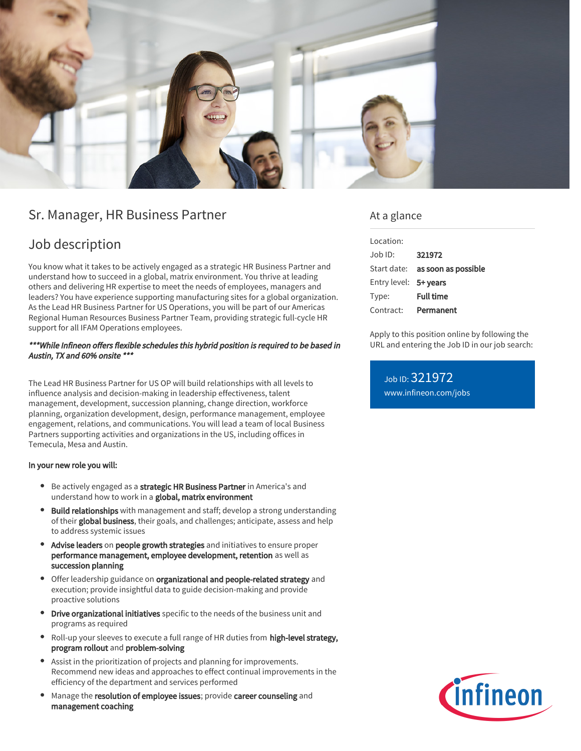

## Sr. Manager, HR Business Partner

## Job description

You know what it takes to be actively engaged as a strategic HR Business Partner and understand how to succeed in a global, matrix environment. You thrive at leading others and delivering HR expertise to meet the needs of employees, managers and leaders? You have experience supporting manufacturing sites for a global organization. As the Lead HR Business Partner for US Operations, you will be part of our Americas Regional Human Resources Business Partner Team, providing strategic full-cycle HR support for all IFAM Operations employees.

#### \*\*\*While Infineon offers flexible schedules this hybrid position is required to be based in Austin, TX and 60% onsite \*\*\*

The Lead HR Business Partner for US OP will build relationships with all levels to influence analysis and decision-making in leadership effectiveness, talent management, development, succession planning, change direction, workforce planning, organization development, design, performance management, employee engagement, relations, and communications. You will lead a team of local Business Partners supporting activities and organizations in the US, including offices in Temecula, Mesa and Austin.

#### In your new role you will:

- **Be actively engaged as a strategic HR Business Partner** in America's and understand how to work in a global, matrix environment
- Build relationships with management and staff; develop a strong understanding of their global business, their goals, and challenges; anticipate, assess and help to address systemic issues
- Advise leaders on people growth strategies and initiatives to ensure proper performance management, employee development, retention as well as succession planning
- **•** Offer leadership guidance on organizational and people-related strategy and execution; provide insightful data to guide decision-making and provide proactive solutions
- **Drive organizational initiatives** specific to the needs of the business unit and programs as required
- Roll-up your sleeves to execute a full range of HR duties from high-level strategy, program rollout and problem-solving
- Assist in the prioritization of projects and planning for improvements. Recommend new ideas and approaches to effect continual improvements in the efficiency of the department and services performed
- Manage the resolution of employee issues; provide career counseling and management coaching

### At a glance

| Location:             |                                 |
|-----------------------|---------------------------------|
| $Joh$ ID:             | 321972                          |
|                       | Start date: as soon as possible |
| Entry level: 5+ years |                                 |
| Type:                 | <b>Full time</b>                |
| Contract:             | Permanent                       |

Apply to this position online by following the URL and entering the Job ID in our job search:

Job ID: 321972 [www.infineon.com/jobs](https://www.infineon.com/jobs)

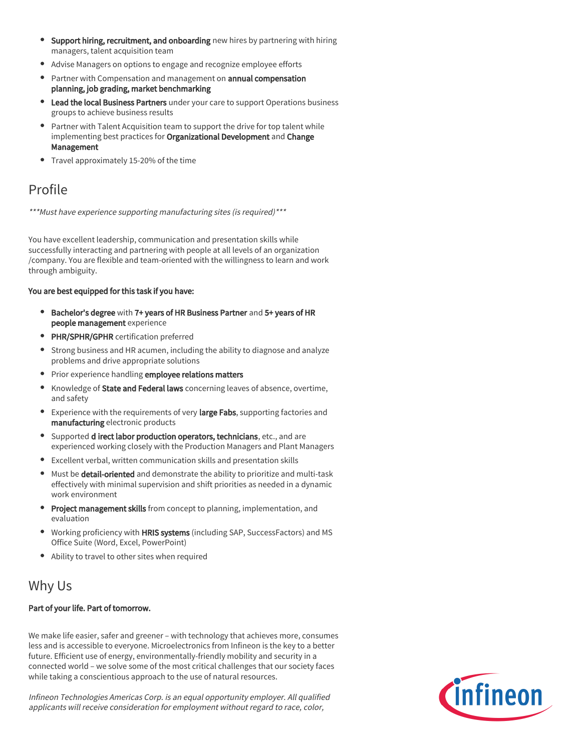- Support hiring, recruitment, and onboarding new hires by partnering with hiring managers, talent acquisition team
- Advise Managers on options to engage and recognize employee efforts
- Partner with Compensation and management on annual compensation planning, job grading, market benchmarking
- Lead the local Business Partners under your care to support Operations business groups to achieve business results
- Partner with Talent Acquisition team to support the drive for top talent while implementing best practices for Organizational Development and Change Management
- Travel approximately 15-20% of the time

## Profile

\*\*\*Must have experience supporting manufacturing sites (is required)\*\*\*

You have excellent leadership, communication and presentation skills while successfully interacting and partnering with people at all levels of an organization /company. You are flexible and team-oriented with the willingness to learn and work through ambiguity.

#### You are best equipped for this task if you have:

- **Bachelor's degree with 7+ years of HR Business Partner and 5+ years of HR** people management experience
- **PHR/SPHR/GPHR** certification preferred
- Strong business and HR acumen, including the ability to diagnose and analyze problems and drive appropriate solutions
- Prior experience handling employee relations matters
- Knowledge of State and Federal laws concerning leaves of absence, overtime,  $\bullet$ and safety
- **Experience with the requirements of very large Fabs, supporting factories and** manufacturing electronic products
- Supported d irect labor production operators, technicians, etc., and are experienced working closely with the Production Managers and Plant Managers
- Excellent verbal, written communication skills and presentation skills
- $\bullet$  Must be detail-oriented and demonstrate the ability to prioritize and multi-task effectively with minimal supervision and shift priorities as needed in a dynamic work environment
- **Project management skills** from concept to planning, implementation, and evaluation
- Working proficiency with HRIS systems (including SAP, SuccessFactors) and MS  $\bullet$ Office Suite (Word, Excel, PowerPoint)
- Ability to travel to other sites when required

# Why Us

### Part of your life. Part of tomorrow.

We make life easier, safer and greener – with technology that achieves more, consumes less and is accessible to everyone. Microelectronics from Infineon is the key to a better future. Efficient use of energy, environmentally-friendly mobility and security in a connected world – we solve some of the most critical challenges that our society faces while taking a conscientious approach to the use of natural resources.

Infineon Technologies Americas Corp. is an equal opportunity employer. All qualified applicants will receive consideration for employment without regard to race, color,